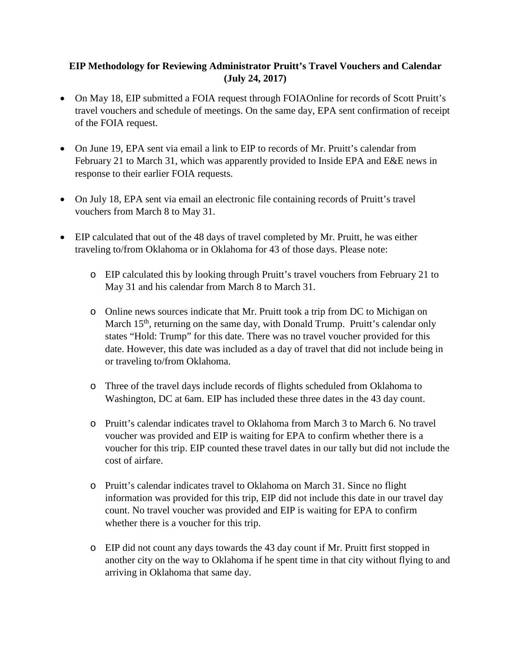## **EIP Methodology for Reviewing Administrator Pruitt's Travel Vouchers and Calendar (July 24, 2017)**

- On May 18, EIP submitted a FOIA request through FOIAOnline for records of Scott Pruitt's travel vouchers and schedule of meetings. On the same day, EPA sent confirmation of receipt of the FOIA request.
- On June 19, EPA sent via email a link to EIP to records of Mr. Pruitt's calendar from February 21 to March 31, which was apparently provided to Inside EPA and E&E news in response to their earlier FOIA requests.
- On July 18, EPA sent via email an electronic file containing records of Pruitt's travel vouchers from March 8 to May 31.
- EIP calculated that out of the 48 days of travel completed by Mr. Pruitt, he was either traveling to/from Oklahoma or in Oklahoma for 43 of those days. Please note:
	- o EIP calculated this by looking through Pruitt's travel vouchers from February 21 to May 31 and his calendar from March 8 to March 31.
	- o Online news sources indicate that Mr. Pruitt took a trip from DC to Michigan on March 15<sup>th</sup>, returning on the same day, with Donald Trump. Pruitt's calendar only states "Hold: Trump" for this date. There was no travel voucher provided for this date. However, this date was included as a day of travel that did not include being in or traveling to/from Oklahoma.
	- o Three of the travel days include records of flights scheduled from Oklahoma to Washington, DC at 6am. EIP has included these three dates in the 43 day count.
	- o Pruitt's calendar indicates travel to Oklahoma from March 3 to March 6. No travel voucher was provided and EIP is waiting for EPA to confirm whether there is a voucher for this trip. EIP counted these travel dates in our tally but did not include the cost of airfare.
	- o Pruitt's calendar indicates travel to Oklahoma on March 31. Since no flight information was provided for this trip, EIP did not include this date in our travel day count. No travel voucher was provided and EIP is waiting for EPA to confirm whether there is a voucher for this trip.
	- o EIP did not count any days towards the 43 day count if Mr. Pruitt first stopped in another city on the way to Oklahoma if he spent time in that city without flying to and arriving in Oklahoma that same day.